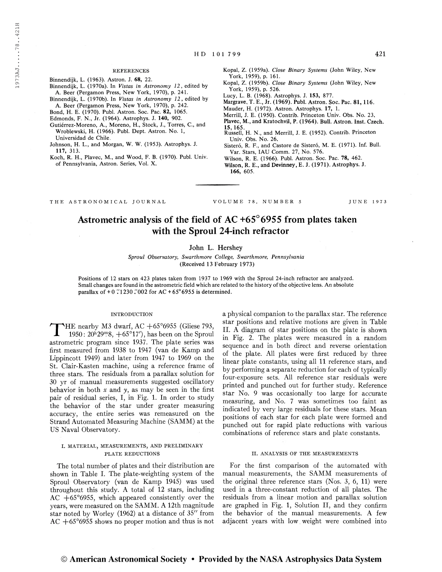### **REFERENCES**

Binnendijk, L. (1963). Astron. J. 68, 22.

- Binnendijk, L. (1970a). In Vistas in Astronomy 12, edited by A. Beer (Pergamon Press, New York, 1970), p. 241.
- Binnendijk, L. (1970b). In Vistas in Astronomy 12, edited by A. Beer (Pergamon Press, New York, 1970), p. 242.
- Bond, H. E. (1970). Publ. Astron. Soc. Pac. 82, 1065.
- Edmonds, F. N., Jr. (1964). Astrophys. J. 140, 902.
- Gutiérrez-Moreno, A., Moreno, H., Stock, J., Torres, C., and Wroblewski, H. (1966). Publ. Dept. Astron. No. 1, Universidad de Chile.
- Johnson, H. L., and Morgan, W. W. (1953). Astrophys. J. 117, 313.
- Koch, R. H., Plavec, M., and Wood, F. B. (1970). Publ. Univ. of Pennsylvania, Astron. Series, Vol. X.
- Kopal, Z. (1959a). Close Binary Systems (John Wiley, New York, 1959), p. 161.
- Kopal, Z. (1959b). Close Binary Systems (John Wiley, New York, 1959), p. 526.
- Lucy, L. B. (1968). Astrophys. J. 153, 877.
- Margrave, T. E., Jr. (1969). Publ. Astron. Soc. Pac. 81, 116.
- Mauder, H. (1972). Astron. Astrophys. 17, 1.
- Merrill, J. E. (1950). Contrib. Princeton Univ. Obs. No. 23,
- Plavec, M., and Kratochvil, P. (1964). Bull. Astron. Inst. Czech. 15,165.
- Russell, H. N., and Merrill, J. E. (1952). Contrib. Princeton Univ. Obs. No. 26,
- Sisteró, R. F., and Castore de Sisteró, M. E. (1971). Inf. Bull. Var. Stars, IAU Comm. 27, No. 576.
- Wilson, R. E. (1966). Publ. Astron. Soc. Pac. 78, 462.
- Wilson, R. E., and Devinney, E. J. (1971). Astrophys. J. 166, 605.

THE ASTRONOMICAL JOURNAL VOLUME 78, NUMBER <sup>5</sup> JUNE 1973

# Astrometric analysis of the field of AC +65°6955 from plates taken with the Sproul 24-inch refractor

# John L. Hershey

Sproul Observatory, Swarthmore College, Swarthmore, Pennsylvania (Received 13 February 1973)

Positions of 12 stars on 423 plates taken from 1937 to 1969 with the Sproul 24-inch refractor are analyzed. Small changes are found in the astrometric field which are related to the history of the objective lens. An absolute parallax of  $+0$  .'1230 .'002 for AC  $+65^{\circ}6955$  is determined.

## INTRODUCTION

 $\text{YHE}$  nearby M3 dwarf, AC  $+65^{\circ}6955$  (Gliese 793,  $1950: 20^{h}29^{m}8$ ,  $+65^{\circ}17'$ ), has been on the Sproul astrometric program since 1937. The plate series was first measured from 1938 to 1947 (van de Kamp and Lippincott 1949) and later from 1947 to 1969 on the St. Clair-Kasten machine, using a reference frame of three stars. The residuals from a parallax solution for 30 yr of manual measurements suggested oscillatory behavior in both  $x$  and  $y$ , as may be seen in the first pair of residual series, I, in Fig. 1. In order to study the behavior of the star under greater measuring accuracy, the entire series was remeasured on the Strand Automated Measuring Machine (SAMM) at the US Naval Observatory.

# I. MATERIAL, MEASUREMENTS, AND PRELIMINARY PLATE REDUCTIONS

The total number of plates and their distribution are shown in Table I. The plate-weighting system of the Sproul Observatory (van de Kamp 1945) was used throughout this study. A total of 12 stars, including AC +65°6955, which appeared consistently over the years, were measured on the SAMM. A 12th magnitude star noted by Worley (1962) at a distance of 35" from AC  $+65^{\circ}6955$  shows no proper motion and thus is not

a physical companion to the parallax star. The reference star positions and relative motions are given in Table II. A diagram of star positions on the plate is shown in Fig. 2. The plates were measured in a random sequence and in both direct and reverse orientation of the plate. All plates were first reduced by three linear plate constants, using all 11 reference stars, and by performing a separate reduction for each of typically four-exposure sets. All reference star residuals were printed and punched out for further study. Reference star No. 9 was occasionally too large for accurate measuring, and No. 7 was sometimes too faint as indicated by very large residuals for these stars. Mean positions of each star for each plate were formed and punched out for rapid plate reductions with various combinations of reference stars and plate constants.

## II. ANALYSIS OF THE MEASUREMENTS

For the first comparison of the automated with manual measurements, the SAMM measurements of the original three reference stars (Nos. 3, 6, 11) were used in a three-constant reduction of all plates. The residuals from a linear motion and parallax solution are graphed in Fig. 1, Solution II, and they confirm the behavior of the manual measurements. A few adjacent years with low. weight were combined into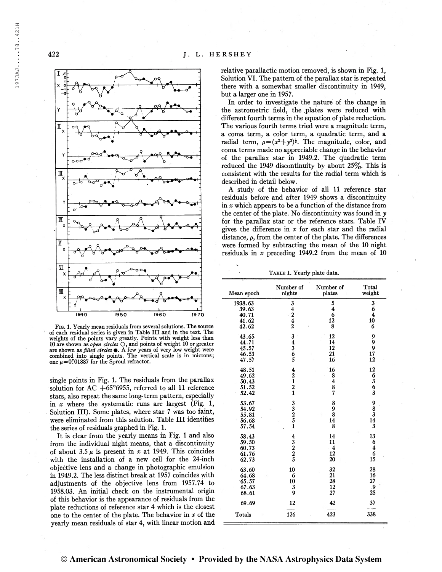

Fig. 1. Yearly mean residuals from several solutions. The source of each residual series is given in Table III and in the text. The weights of the points vary greatly. Points with weight less than 10 are shown as open circles  $\bigcirc$ , and points of weight 10 or greater are shown as *filled circles*  $\bullet$ . A few years of very low weight were combined into single points. The vertical scale is in microns; one  $\mu$ =0".01887 for the Sproul refractor.

single points in Fig. 1. The residuals from the parallax solution for AC  $+65^{\circ}6955$ , referred to all 11 reference stars, also repeat the same long-term pattern, especially in  $x$  where the systematic runs are largest (Fig. 1, Solution III). Some plates, where star <sup>7</sup> was too faint, were eliminated from this solution. Table III identifies the series of residuals graphed in Fig. 1.

It is clear from the yearly means in Fig. <sup>1</sup> and also from the individual night means, that a discontinuity of about  $3.5 \mu$  is present in x at 1949. This coincides with the installation of a new cell for the 24-inch objective lens and a change in photographic emulsion in 1949.2. The less distinct break at 1957 coincides with adjustments of the objective lens from 1957.74 to 1958.03. An initial check on the instrumental origin of this behavior is the appearance of residuals from the plate reductions of reference star 4 which is the closest one to the center of the plate. The behavior in  $x$  of the yearly mean residuals of star 4, with linear motion and relative parallactic motion removed, is shown in Fig. 1, Solution VI. The pattern of the parallax star is repeated there with a somewhat smaller discontinuity in 1949, but a larger one in 1957.

In order to investigate the nature of the change in the astrometric field, the .plates were reduced with different fourth terms in the equation of plate reduction. The various fourth terms tried were a magnitude term, a coma term, a color term, a quadratic term, and a radial term,  $\rho = (x^2 + y^2)^{\frac{1}{2}}$ . The magnitude, color, and coma terms made no appreciable change in the behavior of the parallax star in 1949.2. The quadratic term reduced the 1949 discontinuity by about  $25\%$ . This is consistent with the results for the radial term which is described in detail below.

A study of the behavior of all 11 reference star residuals before and after 1949 shows a discontinuity in  $x$  which appears to be a function of the distance from the center of the plate. No discontinuity was found in y for the parallax star or the reference stars. Table IV gives the difference in  $x$  for each star and the radial distance,  $\rho$ , from the center of the plate. The differences were formed by subtracting the mean of the 10 night residuals in  $x$  preceding 1949.2 from the mean of 10

TABLE I. Yearly plate data.

| Mean epoch     | Number of<br>nights                             | Number of<br>plates | Total<br>weight  |  |
|----------------|-------------------------------------------------|---------------------|------------------|--|
|                |                                                 |                     |                  |  |
| 1938.63        | 3                                               | 5                   | 3                |  |
| 39.63          |                                                 | 4                   | 6                |  |
| 40.71          | $\frac{4}{2}$                                   | 6                   | 4                |  |
| 41.62          |                                                 | 12                  | 10               |  |
| 42.62          | $\overline{2}$                                  | 8                   | 6                |  |
| 43.65          | 34365                                           | 12                  | 9                |  |
| 44.71          |                                                 | 14                  | 9                |  |
| 45.57          |                                                 | 12                  | 9                |  |
| 46.53          |                                                 | 21                  | 17               |  |
| 47.57          |                                                 | 16                  | 12               |  |
|                |                                                 |                     |                  |  |
| 48.51          | 4                                               | 16                  | 12               |  |
| 49.62          | $\frac{2}{1}$                                   | 8                   |                  |  |
| 50.43          |                                                 |                     |                  |  |
| 51.52          |                                                 | $\frac{4}{8}$       | 6<br>3<br>6<br>3 |  |
| 52.42          | $\frac{2}{1}$                                   |                     |                  |  |
|                |                                                 |                     |                  |  |
| 53.67          | 33251                                           | 8                   | 9<br>8<br>3      |  |
| 54.92          |                                                 | 9                   |                  |  |
| 55.81          |                                                 | $\bar{\mathbf{8}}$  |                  |  |
| 56.68          |                                                 | 14                  | 14               |  |
| 57.54          |                                                 | 8                   | 3                |  |
|                |                                                 |                     |                  |  |
| 58.43          | $\frac{4}{3}$<br>$\frac{2}{2}$<br>$\frac{2}{5}$ | 14                  | 13               |  |
|                |                                                 | 11                  | 6                |  |
| 59.50<br>60.73 |                                                 | $\frac{4}{3}$       | 4                |  |
| 61.76          |                                                 | 12                  | 6                |  |
| 62.73          |                                                 | 20                  | 15               |  |
|                |                                                 |                     |                  |  |
| 63.60          | 10                                              | 32                  | 28               |  |
| 64.68          | 6                                               | 21                  | 16               |  |
| 65.57          | 10                                              | 28                  | 27               |  |
| 67.63          | 3                                               | 12                  | . 9              |  |
| 68.61          | 9                                               | 27                  | 25               |  |
|                |                                                 |                     |                  |  |
| 69.69          | 12                                              | 42                  | 37               |  |
| Totals         | 126                                             | 423                 | 338              |  |
|                |                                                 |                     |                  |  |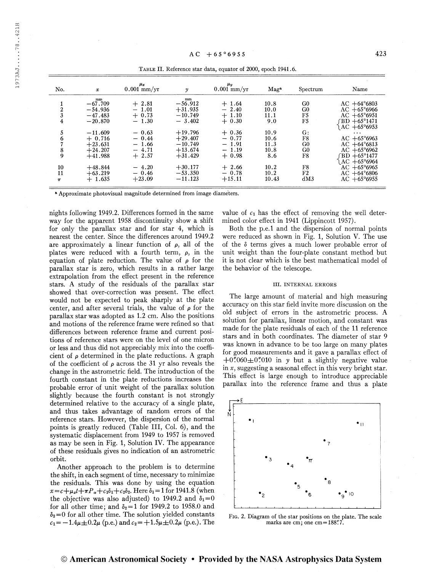| No.                                 | $\boldsymbol{x}$                                             | $\mu_x$<br>$0.001$ mm/yr                            | $\mathcal{Y}$                                                 | $\mu_y$<br>$0.001$ mm/yr                            | Mag <sup>a</sup>                    | Spectrum                                           | Name                                                                                                                             |
|-------------------------------------|--------------------------------------------------------------|-----------------------------------------------------|---------------------------------------------------------------|-----------------------------------------------------|-------------------------------------|----------------------------------------------------|----------------------------------------------------------------------------------------------------------------------------------|
| 2<br>$\mathbf{3}$<br>$\overline{4}$ | mm<br>$-67.709$<br>$-54.936$<br>$-47.483$<br>$-20.870$       | $+2.81$<br>$-1.01$<br>$+0.73$<br>$-1.30$            | mm<br>$-56.912$<br>$+31.935$<br>$-10.749$<br>$-3.402$         | $+1.64$<br>$-2.40$<br>$+1.10$<br>$+0.30$            | 10.8<br>10.0<br>11.1<br>9.0         | G <sub>0</sub><br>G <sub>0</sub><br>F5<br>F5       | $AC + 64^{\circ}6803$<br>$AC + 65^{\circ}6966$<br>$AC + 65^{\circ}6951$<br>$\text{BD} + 65^{\circ}1471$<br>$AC + 65^{\circ}6953$ |
| 5<br>6<br>8<br>9                    | $-11.609$<br>$+0.716$<br>$+23.631$<br>$+24.207$<br>$+41.988$ | $-0.63$<br>$-0.44$<br>$-1.66$<br>$-4.71$<br>$+2.57$ | $+19.796$<br>$+29.407$<br>$-10.749$<br>$+13.674$<br>$+31.429$ | $+0.36$<br>$-0.77$<br>$-1.91$<br>$-1.19$<br>$+0.98$ | 10.9<br>10.6<br>11.3<br>10.8<br>8.6 | G:<br>F8<br>G <sub>0</sub><br>G <sub>0</sub><br>F8 | $\cdots$<br>$AC + 65^{\circ}6963$<br>$AC + 64^{\circ}6813$<br>$AC + 65^{\circ}6962$<br>$BD + 65°1477$                            |
| 10<br>11<br>$\pi$                   | $+48.844$<br>$+63.219$<br>$+1.635$                           | $-4.20$<br>$-0.46$<br>$+23.09$                      | $+30.177$<br>$-53.350$<br>$-11.123$                           | $+2.66$<br>$-0.78$<br>$+15.11$                      | 10.2<br>10.2<br>10.43               | F8<br>F2<br>dM3                                    | $AC + 65°6964$<br>$AC + 65^{\circ}6965$<br>$AC + 64^{\circ}6806$<br>$AC + 65^{\circ}6955$                                        |

Table II. Reference star data, equator of 2000, epoch 1941.6.

**Approximate photovisual magnitude determined from image diameters.** 

nights following 1949.2. Differences formed in the same way for the apparent 1958 discontinuity show a shift for only the parallax star and for star 4, which is nearest the center. Since the differences around 1949.2 are approximately a linear function of  $\rho$ , all of the plates were reduced with a fourth term,  $\rho$ , in the equation of plate reduction. The value of  $\rho$  for the parallax star is zero, which results in a rather large extrapolation from the effect present in the reference stars. A study of the residuals of the parallax star showed that over-correction was present. The effect would not be expected to peak sharply at the plate center, and after several trials, the value of  $\rho$  for the parallax star was adopted as 1.2 cm. Also the positions and motions of the reference frame were refined so that differences between reference frame and current positions of reference stars were on the level of one micron or less and thus did not appreciably mix into the coefficient of  $\rho$  determined in the plate reductions. A graph of the coefficient of  $\rho$  across the 31 yr also reveals the change in the astrometric field. The introduction of the fourth constant in the plate reductions increases the probable error of unit weight of the parallax solution slightly because the fourth constant is not strongly determined relative to the accuracy of a single plate, and thus takes advantage of random errors of the reference stars. However, the dispersion of the normal points is greatly reduced (Table III, Col. 6), and the systematic displacement from 1949 to 1957 is removed as may be seen in Fig. 1, Solution IV. The appearance of these residuals gives no indication of an astrometric orbit.

Another approach to the problem is to determine the shift, in each segment of time, necessary to minimize the residuals. This was done by using the equation  $x = c + \mu_x t + \pi P_\alpha + c_1 \delta_1 + c_2 \delta_2$ . Here  $\delta_1 = 1$  for 1941.8 (when the objective was also adjusted) to 1949.2 and  $\delta_1=0$ for all other time; and  $\delta_2 = 1$  for 1949.2 to 1958.0 and  $\delta_2=0$  for all other time. The solution yielded constants  $c_1 = -1.4\mu \pm 0.2\mu$  (p.e.) and  $c_2 = +1.5\mu \pm 0.2\mu$  (p.e.). The value of  $c_1$  has the effect of removing the well determined color effect in 1941 (Lippincott 1957).

Both the p.e.l and the dispersion of normal points were reduced as shown in Fig. 1, Solution V. The use of the <sup>ô</sup> terms gives a much lower probable error of unit weight than the four-plate constant method but it is not clear which is the best mathematical model of the behavior of the telescope.

## III. INTERNAL ERRORS

The large amount of material and high measuring accuracy on this star field invite more discussion on the old subject of errors in the astrometric process. A solution for parallax, linear motion, and constant was made for the plate residuals of each of the 11 reference stars and in both coordinates. The diameter of star 9 was known in advance to be too large on many plates for good measurements and it gave a parallax effect of  $+0''060+0''010$  in y but a slightly negative value in  $x$ , suggesting a seasonal effect in this very bright star. This effect is large enough to introduce appreciable parallax into the reference frame and thus a plate



Fig. 2. Diagram of the star positions on the plate. The scale marks are cm; one cm =  $188\rlap{.}^{\prime\prime}7$ .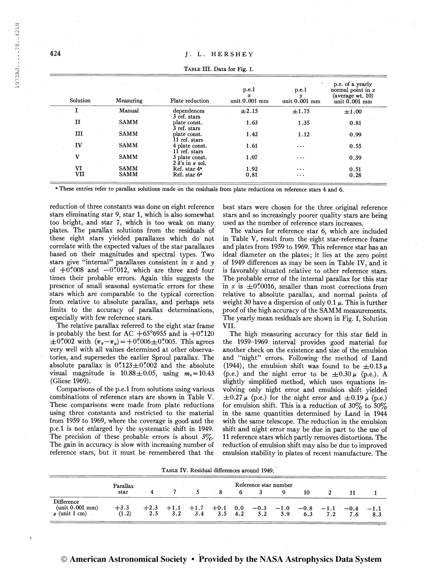| Solution     | Measuring   | Plate reduction                               | p.e.1<br>$\boldsymbol{x}$<br>unit 0.001 mm | p.e.1<br>y<br>unit $0.001$ mm | p.e. of a yearly<br>normal point in $x$<br>(average wt. 10)<br>unit $0.001$ mm |
|--------------|-------------|-----------------------------------------------|--------------------------------------------|-------------------------------|--------------------------------------------------------------------------------|
| I            | Manual      | dependences<br>3 ref. stars                   | $\pm 2.15$                                 | ±1.75                         | $\pm 1.00$                                                                     |
| $\mathbf{I}$ | <b>SAMM</b> | plate const.<br>3 ref. stars                  | 1.63                                       | 1.35                          | 0.81                                                                           |
| ш            | <b>SAMM</b> | plate const.<br>11 ref. stars                 | 1.42                                       | 1.12                          | 0.99                                                                           |
| IV           | <b>SAMM</b> | 4 plate const.<br>$11$ ref. stars             | 1.61                                       | $\cdots$                      | 0.55                                                                           |
| V            | <b>SAMM</b> | 3 plate const.<br>$2 \delta$ 's in $\pi$ sol. | 1.07                                       | $\ddotsc$                     | 0.39                                                                           |
| VI           | <b>SAMM</b> | Ref. star 4 <sup>a</sup>                      | 1.92                                       | $\cdots$                      | 0.51                                                                           |
| VII          | <b>SAMM</b> | Ref. star 6 <sup>a</sup>                      | 0.81                                       | $\cdots$                      | 0.28                                                                           |

Table III. Data for Fig. 1.

<sup>a</sup> These entries refer to parallax solutions made on the residuals from plate reductions on reference stars 4 and 6.

reduction of three constants was done on eight reference stars eliminating star 9, star 1, which is also somewhat too bright, and star 7, which is too weak on many plates. The parallax solutions from the residuals of these eight stars yielded parallaxes which do not correlate with the expected values of the star parallaxes based on their magnitudes and spectral types. Two stars give "internal" parallaxes consistent in  $x$  and  $y$ of  $+0\rlap.{''}008$  and  $-0\rlap.{''}012$ , which are three and four times their probable errors. Again this suggests the presence of small seasonal systematic errors for these stars which are comparable to the typical correction from relative to absolute parallax, and perhaps sets limits to the accuracy of parallax determinations, especially with few reference stars.

The relative parallax referred to the eight star frame is probably the best for AC  $+65^{\circ}6955$  and is  $+0^{\prime\prime}120$  $\pm 0''$  002 with  $(\pi_x - \pi_y) = +0''$  006 $\pm 0''$  005. This agrees very well with all values determined at other observatories, and supersedes the earlier Sproul parallax. The absolute parallax is  $0''123 \pm 0''002$  and the absolute visual magnitude is  $10.88 \pm 0.05$ , using  $m_v = 10.43$ (Gliese 1969).

Comparisons of the p.e.l from solutions using various combinations of reference stars are shown in Table V. These comparisons were made from plate reductions using three constants and restricted to the material from 1959 to 1969, where the coverage is good and the p.e.l is not enlarged by the systematic shift in 1949. The precision of these probable errors is about  $3\%$ . The gain in accuracy is slow with increasing number of reference stars, but it must be remembered that the best stars were chosen for the three original reference stars and so increasingly poorer quality stars are being used as the number of reference stars increases.

The values for reference star 6, which are included in Table V, result from the eight star-reference frame and plates from 1959 to 1969. This reference star has an ideal diameter on the plates; it lies at the zero point of 1949 differences as may be seen in Table IV, and it is favorably situated relative to other reference stars. The probable error of the internal parallax for this star in x is  $\pm 0''$  0016, smaller than most corrections from relative to absolute parallax, and normal points of weight 30 have a dispersion of only 0.1  $\mu$ . This is further proof of the high accuracy of the SAMM measurements. The yearly mean residuals are shown in Fig. I, Solution VII.

The high measuring accuracy for this star field in the 1959-1969 interval provides good material for another check on the existence and size of the emulsion and "night" errors. Following the method of Land (1944), the emulsion shift was found to be  $\pm 0.13 \mu$ (p.e.) and the night error to be  $\pm 0.30 \mu$  (p.e.). A slightly simplified method, which uses equations involving only night error and emulsion shift yielded  $\pm 0.27 \mu$  (p.e.) for the night error and  $\pm 0.19 \mu$  (p.e.) for emulsion shift. This is a reduction of  $30\%$  to  $50\%$ in the same quantities determined by Land in 1944 with the same telescope. The reduction in the emulsion shift and night error may be due in part to the use of 11 reference stars which partly removes distortions. The reduction of emulsion shift may also be due to improved emulsion stability in plates of recent manufacture. The

Table IV. Residual difierences around 1949.

|                                                        |                 | Reference star number |               |               |               |            |                    |     |               |              |     |               |
|--------------------------------------------------------|-----------------|-----------------------|---------------|---------------|---------------|------------|--------------------|-----|---------------|--------------|-----|---------------|
|                                                        | star            |                       |               |               |               |            |                    |     | 10            |              |     |               |
| Difference<br>$(unit\ 0.001 mm)$<br>$\rho$ (unit 1 cm) | $+3.3$<br>(1.2) | $+2.3$<br>2.5         | $+1.1$<br>3.2 | $+1.7$<br>3.4 | $+0.1$<br>3.5 | 0.0<br>4.2 | $-0.3 -1.0$<br>5.2 | 5.9 | $-0.8$<br>6.3 | $-1.1$<br>79 | 7.6 | $-1$ .<br>8.3 |

424

 $\equiv$